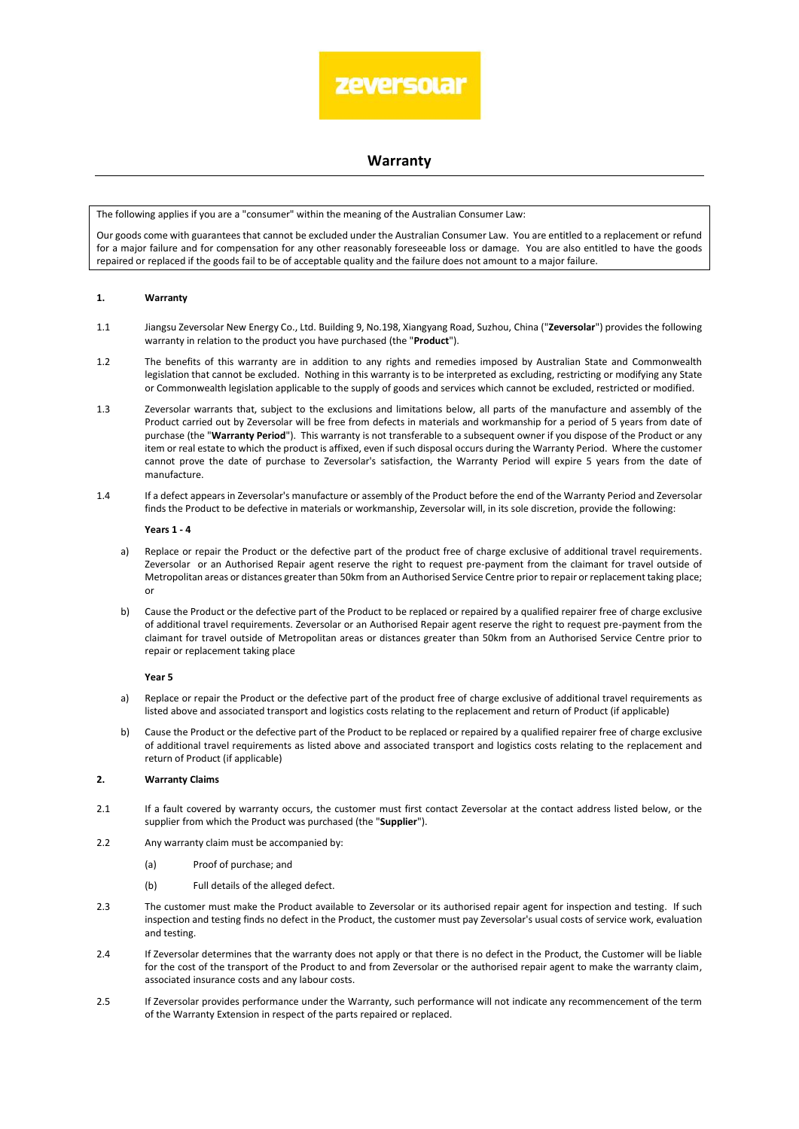

# **Warranty**

The following applies if you are a "consumer" within the meaning of the Australian Consumer Law:

Our goods come with guarantees that cannot be excluded under the Australian Consumer Law. You are entitled to a replacement or refund for a major failure and for compensation for any other reasonably foreseeable loss or damage. You are also entitled to have the goods repaired or replaced if the goods fail to be of acceptable quality and the failure does not amount to a major failure.

# **1. Warranty**

- 1.1 Jiangsu Zeversolar New Energy Co., Ltd. Building 9, No.198, Xiangyang Road, Suzhou, China ("**Zeversolar**") provides the following warranty in relation to the product you have purchased (the "**Product**").
- 1.2 The benefits of this warranty are in addition to any rights and remedies imposed by Australian State and Commonwealth legislation that cannot be excluded. Nothing in this warranty is to be interpreted as excluding, restricting or modifying any State or Commonwealth legislation applicable to the supply of goods and services which cannot be excluded, restricted or modified.
- 1.3 Zeversolar warrants that, subject to the exclusions and limitations below, all parts of the manufacture and assembly of the Product carried out by Zeversolar will be free from defects in materials and workmanship for a period of 5 years from date of purchase (the "**Warranty Period**"). This warranty is not transferable to a subsequent owner if you dispose of the Product or any item or real estate to which the product is affixed, even if such disposal occurs during the Warranty Period. Where the customer cannot prove the date of purchase to Zeversolar's satisfaction, the Warranty Period will expire 5 years from the date of manufacture.
- 1.4 If a defect appears in Zeversolar's manufacture or assembly of the Product before the end of the Warranty Period and Zeversolar finds the Product to be defective in materials or workmanship, Zeversolar will, in its sole discretion, provide the following:

#### **Years 1 - 4**

- a) Replace or repair the Product or the defective part of the product free of charge exclusive of additional travel requirements. Zeversolar or an Authorised Repair agent reserve the right to request pre-payment from the claimant for travel outside of Metropolitan areas or distances greater than 50km from an Authorised Service Centre prior to repair or replacement taking place; or
- b) Cause the Product or the defective part of the Product to be replaced or repaired by a qualified repairer free of charge exclusive of additional travel requirements. Zeversolar or an Authorised Repair agent reserve the right to request pre-payment from the claimant for travel outside of Metropolitan areas or distances greater than 50km from an Authorised Service Centre prior to repair or replacement taking place

#### **Year 5**

- a) Replace or repair the Product or the defective part of the product free of charge exclusive of additional travel requirements as listed above and associated transport and logistics costs relating to the replacement and return of Product (if applicable)
- b) Cause the Product or the defective part of the Product to be replaced or repaired by a qualified repairer free of charge exclusive of additional travel requirements as listed above and associated transport and logistics costs relating to the replacement and return of Product (if applicable)

# **2. Warranty Claims**

- 2.1 If a fault covered by warranty occurs, the customer must first contact Zeversolar at the contact address listed below, or the supplier from which the Product was purchased (the "**Supplier**").
- 2.2 Any warranty claim must be accompanied by:
	- (a) Proof of purchase; and
	- (b) Full details of the alleged defect.
- 2.3 The customer must make the Product available to Zeversolar or its authorised repair agent for inspection and testing. If such inspection and testing finds no defect in the Product, the customer must pay Zeversolar's usual costs of service work, evaluation and testing.
- <span id="page-0-0"></span>2.4 If Zeversolar determines that the warranty does not apply or that there is no defect in the Product, the Customer will be liable for the cost of the transport of the Product to and from Zeversolar or the authorised repair agent to make the warranty claim, associated insurance costs and any labour costs.
- 2.5 If Zeversolar provides performance under the Warranty, such performance will not indicate any recommencement of the term of the Warranty Extension in respect of the parts repaired or replaced.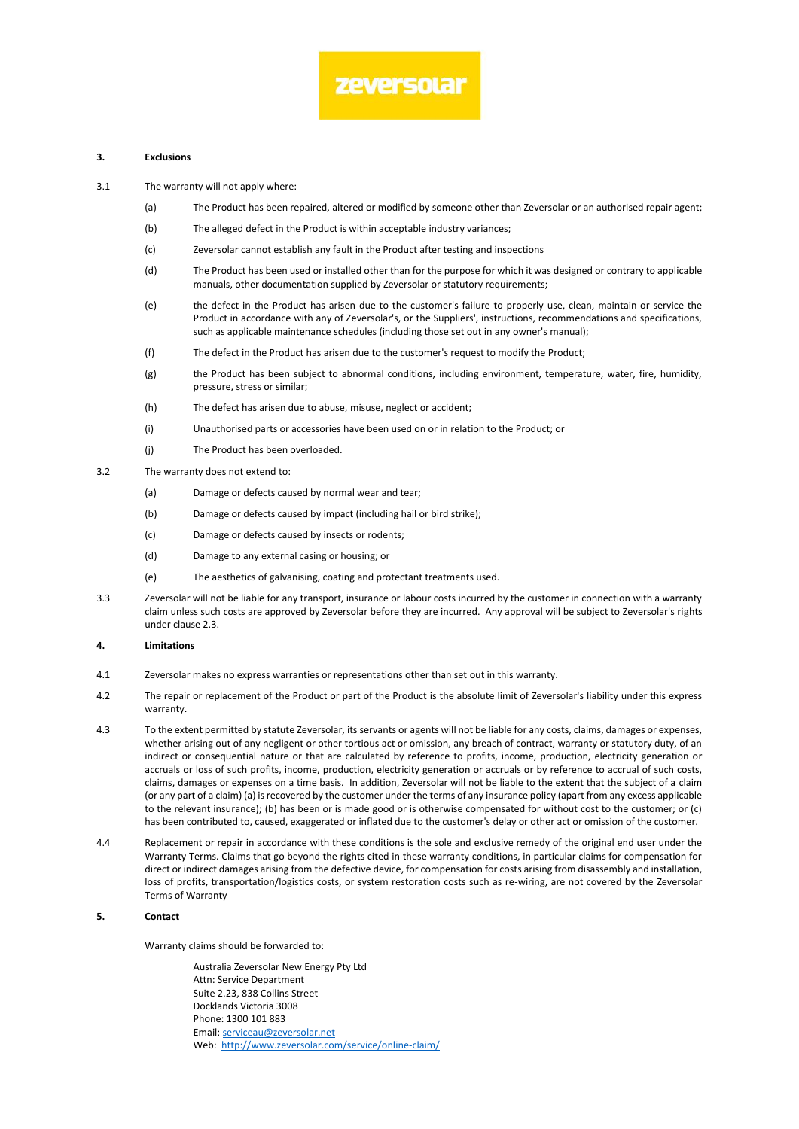# zeversolar

### **3. Exclusions**

- 3.1 The warranty will not apply where:
	- (a) The Product has been repaired, altered or modified by someone other than Zeversolar or an authorised repair agent;
	- (b) The alleged defect in the Product is within acceptable industry variances;
	- (c) Zeversolar cannot establish any fault in the Product after testing and inspections
	- (d) The Product has been used or installed other than for the purpose for which it was designed or contrary to applicable manuals, other documentation supplied by Zeversolar or statutory requirements;
	- (e) the defect in the Product has arisen due to the customer's failure to properly use, clean, maintain or service the Product in accordance with any of Zeversolar's, or the Suppliers', instructions, recommendations and specifications, such as applicable maintenance schedules (including those set out in any owner's manual);
	- (f) The defect in the Product has arisen due to the customer's request to modify the Product;
	- (g) the Product has been subject to abnormal conditions, including environment, temperature, water, fire, humidity, pressure, stress or similar;
	- (h) The defect has arisen due to abuse, misuse, neglect or accident;
	- (i) Unauthorised parts or accessories have been used on or in relation to the Product; or
	- (j) The Product has been overloaded.
- 3.2 The warranty does not extend to:
	- (a) Damage or defects caused by normal wear and tear;
	- (b) Damage or defects caused by impact (including hail or bird strike);
	- (c) Damage or defects caused by insects or rodents;
	- (d) Damage to any external casing or housing; or
	- (e) The aesthetics of galvanising, coating and protectant treatments used.
- 3.3 Zeversolar will not be liable for any transport, insurance or labour costs incurred by the customer in connection with a warranty claim unless such costs are approved by Zeversolar before they are incurred. Any approval will be subject to Zeversolar's rights under clause [2.3.](#page-0-0)

# **4. Limitations**

- 4.1 Zeversolar makes no express warranties or representations other than set out in this warranty.
- 4.2 The repair or replacement of the Product or part of the Product is the absolute limit of Zeversolar's liability under this express warranty.
- 4.3 To the extent permitted by statute Zeversolar, its servants or agents will not be liable for any costs, claims, damages or expenses, whether arising out of any negligent or other tortious act or omission, any breach of contract, warranty or statutory duty, of an indirect or consequential nature or that are calculated by reference to profits, income, production, electricity generation or accruals or loss of such profits, income, production, electricity generation or accruals or by reference to accrual of such costs, claims, damages or expenses on a time basis. In addition, Zeversolar will not be liable to the extent that the subject of a claim (or any part of a claim) (a) is recovered by the customer under the terms of any insurance policy (apart from any excess applicable to the relevant insurance); (b) has been or is made good or is otherwise compensated for without cost to the customer; or (c) has been contributed to, caused, exaggerated or inflated due to the customer's delay or other act or omission of the customer.
- 4.4 Replacement or repair in accordance with these conditions is the sole and exclusive remedy of the original end user under the Warranty Terms. Claims that go beyond the rights cited in these warranty conditions, in particular claims for compensation for direct or indirect damages arising from the defective device, for compensation for costs arising from disassembly and installation, loss of profits, transportation/logistics costs, or system restoration costs such as re-wiring, are not covered by the Zeversolar Terms of Warranty

# **5. Contact**

Warranty claims should be forwarded to:

Australia Zeversolar New Energy Pty Ltd Attn: Service Department Suite 2.23, 838 Collins Street Docklands Victoria 3008 Phone: 1300 101 883 Email[: serviceau@zeversolar.net](mailto:serviceau@zeversolar.net) Web: <http://www.zeversolar.com/service/online-claim/>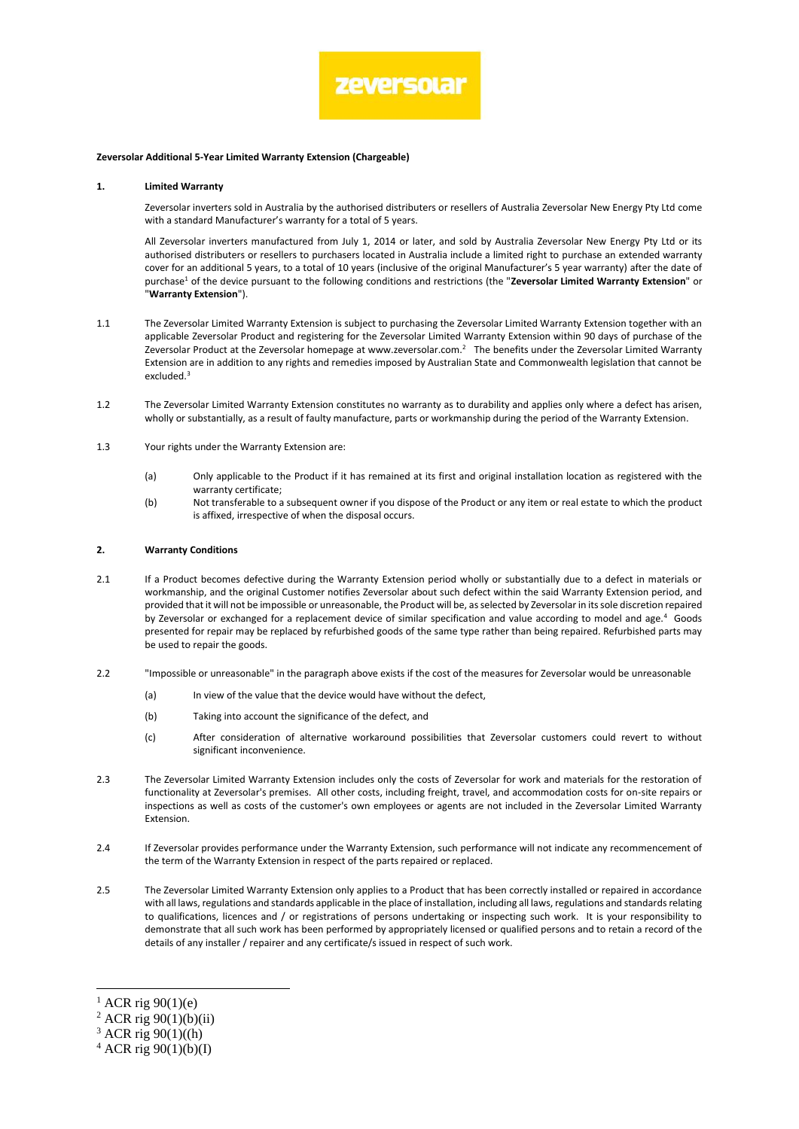

#### **Zeversolar Additional 5-Year Limited Warranty Extension (Chargeable)**

#### **1. Limited Warranty**

Zeversolar inverters sold in Australia by the authorised distributers or resellers of Australia Zeversolar New Energy Pty Ltd come with a standard Manufacturer's warranty for a total of 5 years.

All Zeversolar inverters manufactured from July 1, 2014 or later, and sold by Australia Zeversolar New Energy Pty Ltd or its authorised distributers or resellers to purchasers located in Australia include a limited right to purchase an extended warranty cover for an additional 5 years, to a total of 10 years (inclusive of the original Manufacturer's 5 year warranty) after the date of purchase<sup>1</sup> of the device pursuant to the following conditions and restrictions (the "**Zeversolar Limited Warranty Extension**" or "**Warranty Extension**").

- 1.1 The Zeversolar Limited Warranty Extension is subject to purchasing the Zeversolar Limited Warranty Extension together with an applicable Zeversolar Product and registering for the Zeversolar Limited Warranty Extension within 90 days of purchase of the Zeversolar Product at the Zeversolar homepage at www.zeversolar.com.<sup>2</sup> The benefits under the Zeversolar Limited Warranty Extension are in addition to any rights and remedies imposed by Australian State and Commonwealth legislation that cannot be excluded.<sup>3</sup>
- 1.2 The Zeversolar Limited Warranty Extension constitutes no warranty as to durability and applies only where a defect has arisen, wholly or substantially, as a result of faulty manufacture, parts or workmanship during the period of the Warranty Extension.
- 1.3 Your rights under the Warranty Extension are:
	- (a) Only applicable to the Product if it has remained at its first and original installation location as registered with the warranty certificate;
	- (b) Not transferable to a subsequent owner if you dispose of the Product or any item or real estate to which the product is affixed, irrespective of when the disposal occurs.

# **2. Warranty Conditions**

- 2.1 If a Product becomes defective during the Warranty Extension period wholly or substantially due to a defect in materials or workmanship, and the original Customer notifies Zeversolar about such defect within the said Warranty Extension period, and provided that it will not be impossible or unreasonable, the Product will be, as selected by Zeversolar in its sole discretion repaired by Zeversolar or exchanged for a replacement device of similar specification and value according to model and age.<sup>4</sup> Goods presented for repair may be replaced by refurbished goods of the same type rather than being repaired. Refurbished parts may be used to repair the goods.
- 2.2 "Impossible or unreasonable" in the paragraph above exists if the cost of the measures for Zeversolar would be unreasonable
	- (a) In view of the value that the device would have without the defect,
	- (b) Taking into account the significance of the defect, and
	- (c) After consideration of alternative workaround possibilities that Zeversolar customers could revert to without significant inconvenience.
- 2.3 The Zeversolar Limited Warranty Extension includes only the costs of Zeversolar for work and materials for the restoration of functionality at Zeversolar's premises. All other costs, including freight, travel, and accommodation costs for on-site repairs or inspections as well as costs of the customer's own employees or agents are not included in the Zeversolar Limited Warranty Extension.
- 2.4 If Zeversolar provides performance under the Warranty Extension, such performance will not indicate any recommencement of the term of the Warranty Extension in respect of the parts repaired or replaced.
- 2.5 The Zeversolar Limited Warranty Extension only applies to a Product that has been correctly installed or repaired in accordance with all laws, regulations and standards applicable in the place of installation, including all laws, regulations and standards relating to qualifications, licences and / or registrations of persons undertaking or inspecting such work. It is your responsibility to demonstrate that all such work has been performed by appropriately licensed or qualified persons and to retain a record of the details of any installer / repairer and any certificate/s issued in respect of such work.

-

 $1$  ACR rig 90(1)(e)

<sup>2</sup> ACR rig 90(1)(b)(ii)

 $3$  ACR rig 90(1)((h)

 $4$  ACR rig 90(1)(b)(I)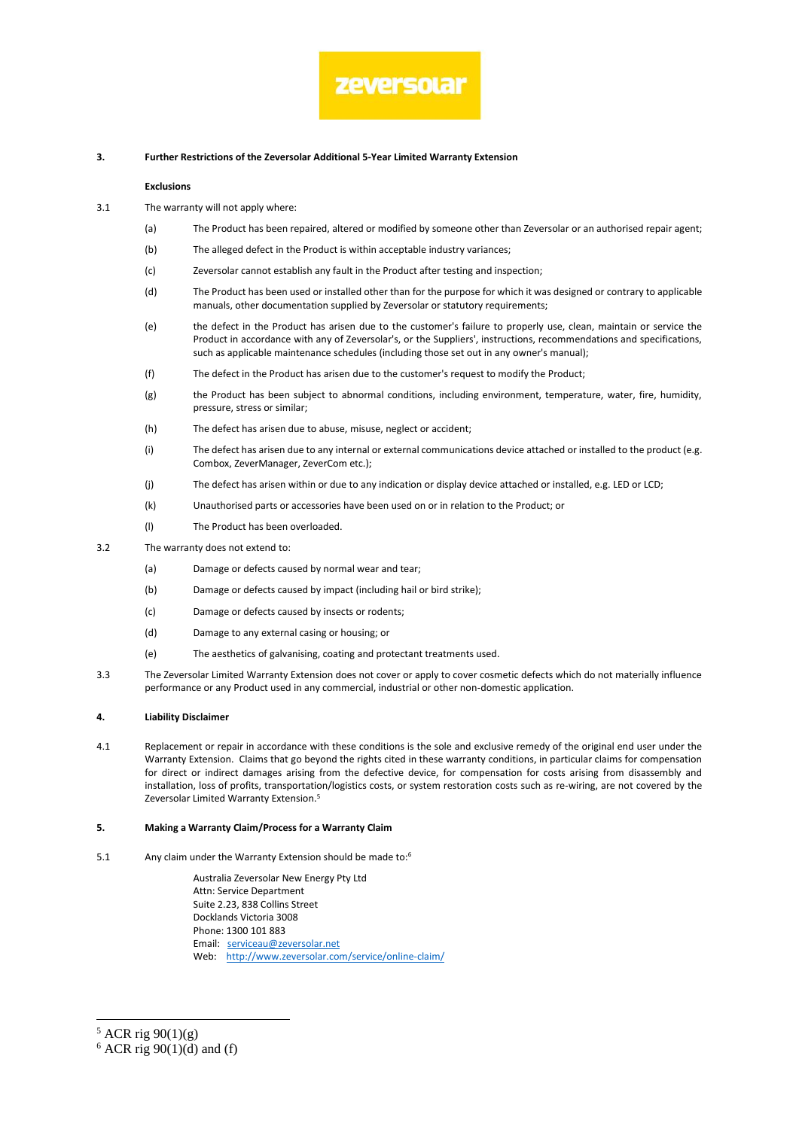# zeversolar

## **3. Further Restrictions of the Zeversolar Additional 5-Year Limited Warranty Extension**

#### **Exclusions**

- 3.1 The warranty will not apply where:
	- (a) The Product has been repaired, altered or modified by someone other than Zeversolar or an authorised repair agent;
	- (b) The alleged defect in the Product is within acceptable industry variances;
	- (c) Zeversolar cannot establish any fault in the Product after testing and inspection;
	- (d) The Product has been used or installed other than for the purpose for which it was designed or contrary to applicable manuals, other documentation supplied by Zeversolar or statutory requirements;
	- (e) the defect in the Product has arisen due to the customer's failure to properly use, clean, maintain or service the Product in accordance with any of Zeversolar's, or the Suppliers', instructions, recommendations and specifications, such as applicable maintenance schedules (including those set out in any owner's manual);
	- (f) The defect in the Product has arisen due to the customer's request to modify the Product;
	- (g) the Product has been subject to abnormal conditions, including environment, temperature, water, fire, humidity, pressure, stress or similar;
	- (h) The defect has arisen due to abuse, misuse, neglect or accident;
	- (i) The defect has arisen due to any internal or external communications device attached or installed to the product (e.g. Combox, ZeverManager, ZeverCom etc.);
	- (j) The defect has arisen within or due to any indication or display device attached or installed, e.g. LED or LCD;
	- (k) Unauthorised parts or accessories have been used on or in relation to the Product; or
	- (l) The Product has been overloaded.
- 3.2 The warranty does not extend to:
	- (a) Damage or defects caused by normal wear and tear;
	- (b) Damage or defects caused by impact (including hail or bird strike);
	- (c) Damage or defects caused by insects or rodents;
	- (d) Damage to any external casing or housing; or
	- (e) The aesthetics of galvanising, coating and protectant treatments used.
- 3.3 The Zeversolar Limited Warranty Extension does not cover or apply to cover cosmetic defects which do not materially influence performance or any Product used in any commercial, industrial or other non-domestic application.

#### **4. Liability Disclaimer**

4.1 Replacement or repair in accordance with these conditions is the sole and exclusive remedy of the original end user under the Warranty Extension. Claims that go beyond the rights cited in these warranty conditions, in particular claims for compensation for direct or indirect damages arising from the defective device, for compensation for costs arising from disassembly and installation, loss of profits, transportation/logistics costs, or system restoration costs such as re-wiring, are not covered by the Zeversolar Limited Warranty Extension.<sup>5</sup>

# **5. Making a Warranty Claim/Process for a Warranty Claim**

5.1 Any claim under the Warranty Extension should be made to:<sup>6</sup>

Australia Zeversolar New Energy Pty Ltd Attn: Service Department Suite 2.23, 838 Collins Street Docklands Victoria 3008 Phone: 1300 101 883 Email: [serviceau@zeversolar.net](mailto:serviceau@zeversolar.net) Web: <http://www.zeversolar.com/service/online-claim/>

-

 $5$  ACR rig  $90(1)(g)$ 

 $6$  ACR rig 90(1)(d) and (f)